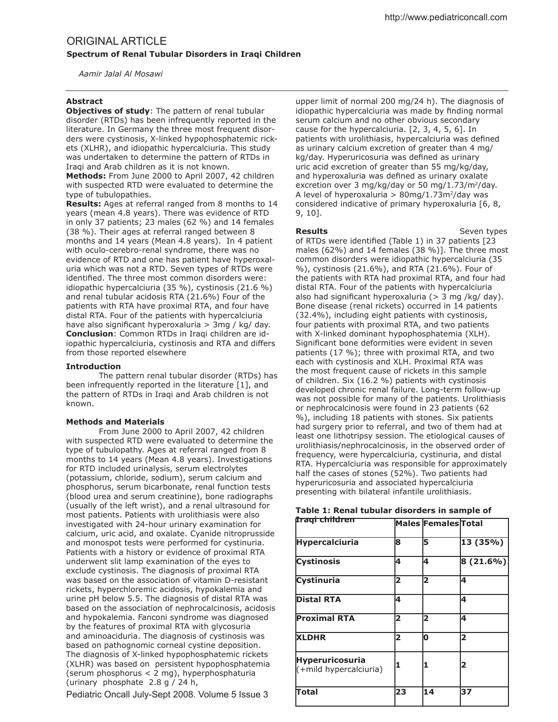# ORIGINAL ARTICLE **Spectrum of Renal Tubular Disorders in Iraqi Children**

 *Aamir Jalal Al Mosawi*

## **Abstract**

**Objectives of study:** The pattern of renal tubular disorder (RTDs) has been infrequently reported in the literature. In Germany the three most frequent disorders were cystinosis, X-linked hypophosphatemic rickets (XLHR), and idiopathic hypercalciuria. This study was undertaken to determine the pattern of RTDs in Iraqi and Arab children as it is not known.

**Methods:** From June 2000 to April 2007, 42 children with suspected RTD were evaluated to determine the type of tubulopathies.

**Results:** Ages at referral ranged from 8 months to 14 years (mean 4.8 years). There was evidence of RTD in only 37 patients; 23 males (62 %) and 14 females (38 %). Their ages at referral ranged between 8 months and 14 years (Mean 4.8 years). In 4 patient with oculo-cerebro-renal syndrome, there was no evidence of RTD and one has patient have hyperoxaluria which was not a RTD. Seven types of RTDs were identified. The three most common disorders were: idiopathic hypercalciuria (35 %), cystinosis (21.6 %) and renal tubular acidosis RTA (21.6%) Four of the patients with RTA have proximal RTA, and four have distal RTA. Four of the patients with hypercalciuria have also significant hyperoxaluria  $> 3$ mg / kg/ day. **Conclusion**: Common RTDs in Iraqi children are idiopathic hypercalciuria, cystinosis and RTA and difers from those reported elsewhere

## **Introduction**

 The pattern renal tubular disorder (RTDs) has been infrequently reported in the literature [1], and the pattern of RTDs in Iraqi and Arab children is not known.

## **Methods and Materials**

 From June 2000 to April 2007, 42 children with suspected RTD were evaluated to determine the type of tubulopathy. Ages at referral ranged from 8 months to 14 years (Mean 4.8 years). Investigations for RTD included urinalysis, serum electrolytes (potassium, chloride, sodium), serum calcium and phosphorus, serum bicarbonate, renal function tests (blood urea and serum creatinine), bone radiographs (usually of the left wrist), and a renal ultrasound for most patients. Patients with urolithiasis were also investigated with 24-hour urinary examination for calcium, uric acid, and oxalate. Cyanide nitroprusside and monospot tests were performed for cystinuria. Patients with a history or evidence of proximal RTA underwent slit lamp examination of the eyes to exclude cystinosis. The diagnosis of proximal RTA was based on the association of vitamin D-resistant rickets, hyperchloremic acidosis, hypokalemia and urine pH below 5.5. The diagnosis of distal RTA was based on the association of nephrocalcinosis, acidosis and hypokalemia. Fanconi syndrome was diagnosed by the features of proximal RTA with glycosuria and aminoaciduria. The diagnosis of cystinosis was based on pathognomic corneal cystine deposition. The diagnosis of X-linked hypophosphatemic rickets (XLHR) was based on persistent hypophosphatemia (serum phosphorus < 2 mg), hyperphosphaturia (urinary phosphate 2.8 g / 24 h,

Pediatric Oncall July-Sept 2008. Volume 5 Issue 3

upper limit of normal 200 mg/24 h). The diagnosis of idiopathic hypercalciuria was made by finding normal serum calcium and no other obvious secondary cause for the hypercalciuria. [2, 3, 4, 5, 6]. In patients with urolithiasis, hypercalciuria was defined as urinary calcium excretion of greater than 4 mg/ kg/day. Hyperuricosuria was defined as urinary uric acid excretion of greater than 55 mg/kg/day, and hyperoxaluria was defined as urinary oxalate excretion over 3 mg/kg/day or 50 mg/1.73/m<sup>2</sup>/day. A level of hyperoxaluria  $> 80$ mg/1.73m<sup>2</sup>/day was considered indicative of primary hyperoxaluria [6, 8, 9, 10].

**Results** Seven types of RTDs were identified (Table 1) in 37 patients  $[23]$ males (62%) and 14 females (38 %)]. The three most common disorders were idiopathic hypercalciuria (35 %), cystinosis (21.6%), and RTA (21.6%). Four of the patients with RTA had proximal RTA, and four had distal RTA. Four of the patients with hypercalciuria also had significant hyperoxaluria ( $>$  3 mg /kg/ day). Bone disease (renal rickets) occurred in 14 patients (32.4%), including eight patients with cystinosis, four patients with proximal RTA, and two patients with X-linked dominant hypophosphatemia (XLH). Significant bone deformities were evident in seven patients (17 %); three with proximal RTA, and two each with cystinosis and XLH. Proximal RTA was the most frequent cause of rickets in this sample of children. Six (16.2 %) patients with cystinosis developed chronic renal failure. Long-term follow-up was not possible for many of the patients. Urolithiasis or nephrocalcinosis were found in 23 patients (62 %), including 18 patients with stones. Six patients had surgery prior to referral, and two of them had at least one lithotripsy session. The etiological causes of urolithiasis/nephrocalcinosis, in the observed order of frequency, were hypercalciuria, cystinuria, and distal RTA. Hypercalciuria was responsible for approximately half the cases of stones (52%). Two patients had hyperuricosuria and associated hypercalciuria presenting with bilateral infantile urolithiasis.

| Iraqi children                                   |    | Males Females Total |             |
|--------------------------------------------------|----|---------------------|-------------|
| <b>Hypercalciuria</b>                            | 18 | 15                  | 13(35%)     |
| <b>Cystinosis</b>                                | 4  | 14                  | $8(21.6\%)$ |
| <b>Cystinuria</b>                                | 2  | 2                   | 4           |
| <b>Distal RTA</b>                                | 4  |                     | 4           |
| <b>Proximal RTA</b>                              | 2  | 2                   | 14          |
| <b>XLDHR</b>                                     | 2  | lО                  | 2           |
| <b>Hyperuricosuria</b><br>(+mild hypercalciuria) |    |                     | 2           |
| <b>Total</b>                                     | 23 | 14                  | 37          |

|  | Table 1: Renal tubular disorders in sample of |  |  |  |  |
|--|-----------------------------------------------|--|--|--|--|
|  |                                               |  |  |  |  |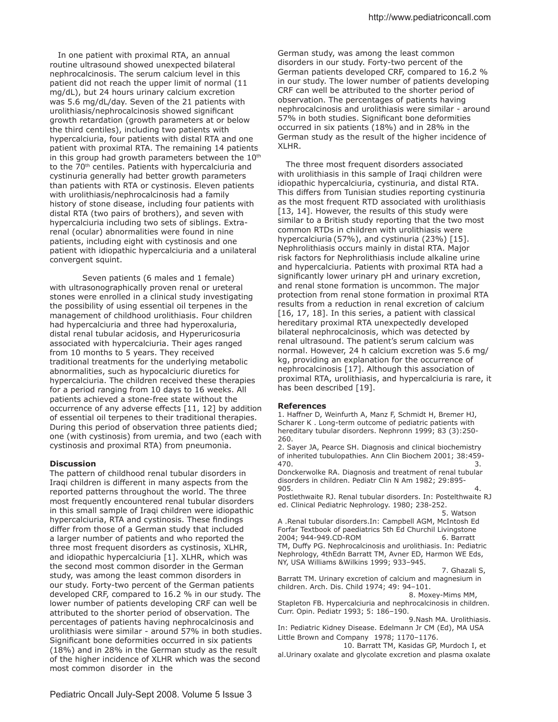In one patient with proximal RTA, an annual routine ultrasound showed unexpected bilateral nephrocalcinosis. The serum calcium level in this patient did not reach the upper limit of normal (11 mg/dL), but 24 hours urinary calcium excretion was 5.6 mg/dL/day. Seven of the 21 patients with urolithiasis/nephrocalcinosis showed significant growth retardation (growth parameters at or below the third centiles), including two patients with hypercalciuria, four patients with distal RTA and one patient with proximal RTA. The remaining 14 patients in this group had growth parameters between the  $10<sup>th</sup>$ to the 70<sup>th</sup> centiles. Patients with hypercalciuria and cystinuria generally had better growth parameters than patients with RTA or cystinosis. Eleven patients with urolithiasis/nephrocalcinosis had a family history of stone disease, including four patients with distal RTA (two pairs of brothers), and seven with hypercalciuria including two sets of siblings. Extrarenal (ocular) abnormalities were found in nine patients, including eight with cystinosis and one patient with idiopathic hypercalciuria and a unilateral convergent squint.

 Seven patients (6 males and 1 female) with ultrasonographically proven renal or ureteral stones were enrolled in a clinical study investigating the possibility of using essential oil terpenes in the management of childhood urolithiasis. Four children had hypercalciuria and three had hyperoxaluria, distal renal tubular acidosis, and Hyperuricosuria associated with hypercalciuria. Their ages ranged from 10 months to 5 years. They received traditional treatments for the underlying metabolic abnormalities, such as hypocalciuric diuretics for hypercalciuria. The children received these therapies for a period ranging from 10 days to 16 weeks. All patients achieved a stone-free state without the occurrence of any adverse efects [11, 12] by addition of essential oil terpenes to their traditional therapies. During this period of observation three patients died; one (with cystinosis) from uremia, and two (each with cystinosis and proximal RTA) from pneumonia.

#### **Discussion**

The pattern of childhood renal tubular disorders in Iraqi children is diferent in many aspects from the reported patterns throughout the world. The three most frequently encountered renal tubular disorders in this small sample of Iraqi children were idiopathic hypercalciuria, RTA and cystinosis. These findings difer from those of a German study that included a larger number of patients and who reported the three most frequent disorders as cystinosis, XLHR, and idiopathic hypercalciuria [1]. XLHR, which was the second most common disorder in the German study, was among the least common disorders in our study. Forty-two percent of the German patients developed CRF, compared to 16.2 % in our study. The lower number of patients developing CRF can well be attributed to the shorter period of observation. The percentages of patients having nephrocalcinosis and urolithiasis were similar - around 57% in both studies. Significant bone deformities occurred in six patients (18%) and in 28% in the German study as the result of the higher incidence of XLHR which was the second most common disorder in the

German study, was among the least common disorders in our study. Forty-two percent of the German patients developed CRF, compared to 16.2 % in our study. The lower number of patients developing CRF can well be attributed to the shorter period of observation. The percentages of patients having nephrocalcinosis and urolithiasis were similar - around 57% in both studies. Significant bone deformities occurred in six patients (18%) and in 28% in the German study as the result of the higher incidence of XLHR.

 The three most frequent disorders associated with urolithiasis in this sample of Iraqi children were idiopathic hypercalciuria, cystinuria, and distal RTA. This difers from Tunisian studies reporting cystinuria as the most frequent RTD associated with urolithiasis [13, 14]. However, the results of this study were similar to a British study reporting that the two most common RTDs in children with urolithiasis were hypercalciuria (57%), and cystinuria (23%) [15]. Nephrolithiasis occurs mainly in distal RTA. Major risk factors for Nephrolithiasis include alkaline urine and hypercalciuria. Patients with proximal RTA had a significantly lower urinary pH and urinary excretion, and renal stone formation is uncommon. The major protection from renal stone formation in proximal RTA results from a reduction in renal excretion of calcium [16, 17, 18]. In this series, a patient with classical hereditary proximal RTA unexpectedly developed bilateral nephrocalcinosis, which was detected by renal ultrasound. The patient's serum calcium was normal. However, 24 h calcium excretion was 5.6 mg/ kg, providing an explanation for the occurrence of nephrocalcinosis [17]. Although this association of proximal RTA, urolithiasis, and hypercalciuria is rare, it has been described [19].

#### **References**

1. Hafner D, Weinfurth A, Manz F, Schmidt H, Bremer HJ, Scharer K . Long-term outcome of pediatric patients with hereditary tubular disorders. Nephronn 1999; 83 (3):250- 260.

2. Sayer JA, Pearce SH. Diagnosis and clinical biochemistry of inherited tubulopathies. Ann Clin Biochem 2001; 38:459-  $470.$  3.

Donckerwolke RA. Diagnosis and treatment of renal tubular disorders in children. Pediatr Clin N Am 1982; 29:895-  $905.$  4.

Postlethwaite RJ. Renal tubular disorders. In: Postelthwaite RJ ed. Clinical Pediatric Nephrology. 1980; 238-252.

5. Watson

A .Renal tubular disorders.In: Campbell AGM, McIntosh Ed Forfar Textbook of paediatrics 5th Ed Churchil Livingstone 2004; 944-949.CD-ROM 6. Barratt TM, Dufy PG. Nephrocalcinosis and urolithiasis. In: Pediatric Nephrology, 4thEdn Barratt TM, Avner ED, Harmon WE Eds, NY, USA Williams &Wilkins 1999; 933–945.

7. Ghazali S,

Barratt TM. Urinary excretion of calcium and magnesium in children. Arch. Dis. Child 1974; 49: 94–101.

 8. Moxey-Mims MM, Stapleton FB. Hypercalciuria and nephrocalcinosis in children. Curr. Opin. Pediatr 1993; 5: 186–190.

9.Nash MA. Urolithiasis.

In: Pediatric Kidney Disease. Edelmann Jr CM (Ed), MA USA Little Brown and Company 1978; 1170–1176.

 10. Barratt TM, Kasidas GP, Murdoch I, et al.Urinary oxalate and glycolate excretion and plasma oxalate